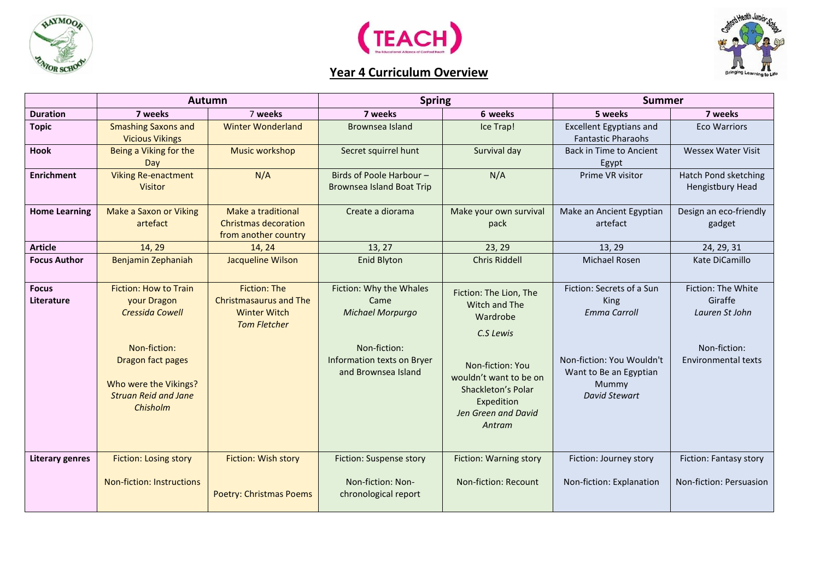



## **Year 4 Curriculum Overview**



|                            | <b>Autumn</b>                                                                                                                                                           |                                                                                                    | <b>Spring</b>                                                                                                            |                                                                                                                                                                                     | <b>Summer</b>                                                                                                                             |                                                                                               |
|----------------------------|-------------------------------------------------------------------------------------------------------------------------------------------------------------------------|----------------------------------------------------------------------------------------------------|--------------------------------------------------------------------------------------------------------------------------|-------------------------------------------------------------------------------------------------------------------------------------------------------------------------------------|-------------------------------------------------------------------------------------------------------------------------------------------|-----------------------------------------------------------------------------------------------|
| <b>Duration</b>            | 7 weeks                                                                                                                                                                 | 7 weeks                                                                                            | 7 weeks                                                                                                                  | 6 weeks                                                                                                                                                                             | 5 weeks                                                                                                                                   | 7 weeks                                                                                       |
| <b>Topic</b>               | <b>Smashing Saxons and</b><br><b>Vicious Vikings</b>                                                                                                                    | <b>Winter Wonderland</b>                                                                           | Brownsea Island                                                                                                          | Ice Trap!                                                                                                                                                                           | <b>Excellent Egyptians and</b><br><b>Fantastic Pharaohs</b>                                                                               | <b>Eco Warriors</b>                                                                           |
| <b>Hook</b>                | Being a Viking for the<br>Day                                                                                                                                           | <b>Music workshop</b>                                                                              | Secret squirrel hunt                                                                                                     | Survival day                                                                                                                                                                        | <b>Back in Time to Ancient</b><br>Egypt                                                                                                   | <b>Wessex Water Visit</b>                                                                     |
| <b>Enrichment</b>          | <b>Viking Re-enactment</b><br><b>Visitor</b>                                                                                                                            | N/A                                                                                                | Birds of Poole Harbour -<br><b>Brownsea Island Boat Trip</b>                                                             | N/A                                                                                                                                                                                 | Prime VR visitor                                                                                                                          | <b>Hatch Pond sketching</b><br><b>Hengistbury Head</b>                                        |
| <b>Home Learning</b>       | <b>Make a Saxon or Viking</b><br>artefact                                                                                                                               | Make a traditional<br><b>Christmas decoration</b><br>from another country                          | Create a diorama                                                                                                         | Make your own survival<br>pack                                                                                                                                                      | Make an Ancient Egyptian<br>artefact                                                                                                      | Design an eco-friendly<br>gadget                                                              |
| <b>Article</b>             | 14, 29                                                                                                                                                                  | 14, 24                                                                                             | 13, 27                                                                                                                   | 23, 29                                                                                                                                                                              | 13, 29                                                                                                                                    | 24, 29, 31                                                                                    |
| <b>Focus Author</b>        | Benjamin Zephaniah                                                                                                                                                      | <b>Jacqueline Wilson</b>                                                                           | <b>Enid Blyton</b>                                                                                                       | <b>Chris Riddell</b>                                                                                                                                                                | <b>Michael Rosen</b>                                                                                                                      | Kate DiCamillo                                                                                |
| <b>Focus</b><br>Literature | <b>Fiction: How to Train</b><br>your Dragon<br>Cressida Cowell<br>Non-fiction:<br>Dragon fact pages<br>Who were the Vikings?<br><b>Struan Reid and Jane</b><br>Chisholm | <b>Fiction: The</b><br><b>Christmasaurus and The</b><br><b>Winter Witch</b><br><b>Tom Fletcher</b> | Fiction: Why the Whales<br>Came<br>Michael Morpurgo<br>Non-fiction:<br>Information texts on Bryer<br>and Brownsea Island | Fiction: The Lion, The<br>Witch and The<br>Wardrobe<br>C.S Lewis<br>Non-fiction: You<br>wouldn't want to be on<br>Shackleton's Polar<br>Expedition<br>Jen Green and David<br>Antram | Fiction: Secrets of a Sun<br>King<br><b>Emma Carroll</b><br>Non-fiction: You Wouldn't<br>Want to Be an Egyptian<br>Mummy<br>David Stewart | Fiction: The White<br>Giraffe<br>Lauren St John<br>Non-fiction:<br><b>Environmental texts</b> |
| <b>Literary genres</b>     | <b>Fiction: Losing story</b><br><b>Non-fiction: Instructions</b>                                                                                                        | Fiction: Wish story<br><b>Poetry: Christmas Poems</b>                                              | Fiction: Suspense story<br>Non-fiction: Non-<br>chronological report                                                     | Fiction: Warning story<br>Non-fiction: Recount                                                                                                                                      | Fiction: Journey story<br>Non-fiction: Explanation                                                                                        | Fiction: Fantasy story<br>Non-fiction: Persuasion                                             |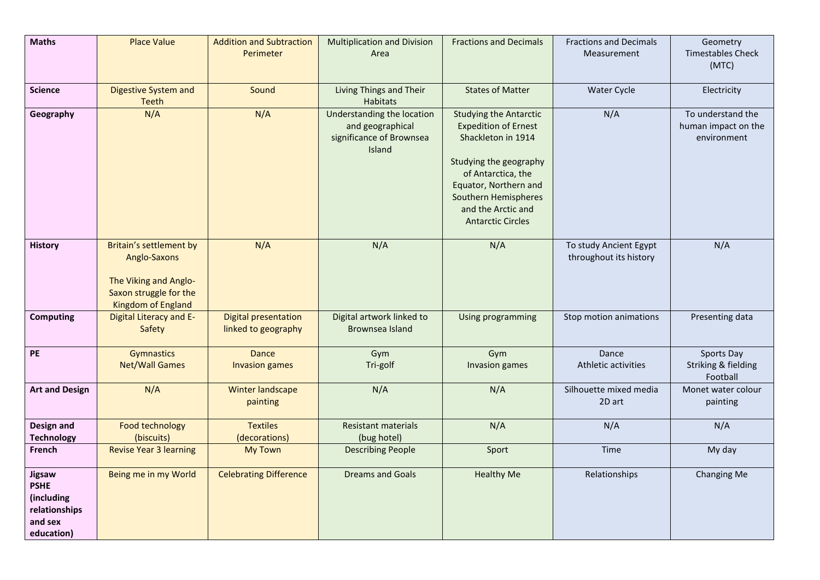| <b>Maths</b>                                                                  | <b>Place Value</b>                                                                                               | <b>Addition and Subtraction</b><br>Perimeter       | <b>Multiplication and Division</b><br>Area                                           | <b>Fractions and Decimals</b>                                                                                                                                                                                                         | <b>Fractions and Decimals</b><br>Measurement     | Geometry<br><b>Timestables Check</b><br>(MTC)           |
|-------------------------------------------------------------------------------|------------------------------------------------------------------------------------------------------------------|----------------------------------------------------|--------------------------------------------------------------------------------------|---------------------------------------------------------------------------------------------------------------------------------------------------------------------------------------------------------------------------------------|--------------------------------------------------|---------------------------------------------------------|
|                                                                               |                                                                                                                  |                                                    |                                                                                      |                                                                                                                                                                                                                                       |                                                  |                                                         |
| <b>Science</b>                                                                | <b>Digestive System and</b><br><b>Teeth</b>                                                                      | Sound                                              | Living Things and Their<br>Habitats                                                  | <b>States of Matter</b>                                                                                                                                                                                                               | <b>Water Cycle</b>                               | Electricity                                             |
| Geography                                                                     | N/A                                                                                                              | N/A                                                | Understanding the location<br>and geographical<br>significance of Brownsea<br>Island | <b>Studying the Antarctic</b><br><b>Expedition of Ernest</b><br>Shackleton in 1914<br>Studying the geography<br>of Antarctica, the<br>Equator, Northern and<br>Southern Hemispheres<br>and the Arctic and<br><b>Antarctic Circles</b> | N/A                                              | To understand the<br>human impact on the<br>environment |
| <b>History</b>                                                                | Britain's settlement by<br>Anglo-Saxons<br>The Viking and Anglo-<br>Saxon struggle for the<br>Kingdom of England | N/A                                                | N/A                                                                                  | N/A                                                                                                                                                                                                                                   | To study Ancient Egypt<br>throughout its history | N/A                                                     |
| <b>Computing</b>                                                              | Digital Literacy and E-<br>Safety                                                                                | <b>Digital presentation</b><br>linked to geography | Digital artwork linked to<br>Brownsea Island                                         | Using programming                                                                                                                                                                                                                     | Stop motion animations                           | Presenting data                                         |
| PE                                                                            | <b>Gymnastics</b><br><b>Net/Wall Games</b>                                                                       | Dance<br><b>Invasion games</b>                     | Gym<br>Tri-golf                                                                      | Gym<br>Invasion games                                                                                                                                                                                                                 | Dance<br>Athletic activities                     | Sports Day<br>Striking & fielding<br>Football           |
| <b>Art and Design</b>                                                         | N/A                                                                                                              | <b>Winter landscape</b><br>painting                | N/A                                                                                  | N/A                                                                                                                                                                                                                                   | Silhouette mixed media<br>2D art                 | Monet water colour<br>painting                          |
| Design and<br><b>Technology</b>                                               | <b>Food technology</b><br>(biscuits)                                                                             | <b>Textiles</b><br>(decorations)                   | <b>Resistant materials</b><br>(bug hotel)                                            | N/A                                                                                                                                                                                                                                   | N/A                                              | N/A                                                     |
| French                                                                        | <b>Revise Year 3 learning</b>                                                                                    | <b>My Town</b>                                     | <b>Describing People</b>                                                             | Sport                                                                                                                                                                                                                                 | Time                                             | My day                                                  |
| Jigsaw<br><b>PSHE</b><br>(including<br>relationships<br>and sex<br>education) | Being me in my World                                                                                             | <b>Celebrating Difference</b>                      | <b>Dreams and Goals</b>                                                              | <b>Healthy Me</b>                                                                                                                                                                                                                     | Relationships                                    | Changing Me                                             |